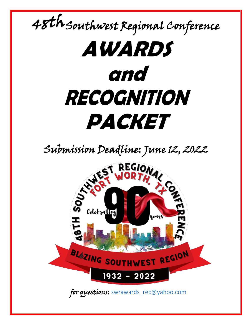# 48th Southwest Regional Conference **AWARDS and RECOGNITION PACKET** Submission Deadline: June 12, 2022<br>WEST REGIONAL<br>WORTH, 202 Celebrating yeark BLAZING SOUTHWEST REGION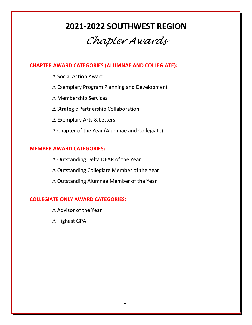# **2021-2022 SOUTHWEST REGION**

# *Chapter Awards*

# **CHAPTER AWARD CATEGORIES (ALUMNAE AND COLLEGIATE):**

- ∆ Social Action Award
- ∆ Exemplary Program Planning and Development
- ∆ Membership Services
- ∆ Strategic Partnership Collaboration
- ∆ Exemplary Arts & Letters
- ∆ Chapter of the Year (Alumnae and Collegiate)

# **MEMBER AWARD CATEGORIES:**

∆ Outstanding Delta DEAR of the Year ∆ Outstanding Collegiate Member of the Year ∆ Outstanding Alumnae Member of the Year

# **COLLEGIATE ONLY AWARD CATEGORIES:**

∆ Advisor of the Year

∆ Highest GPA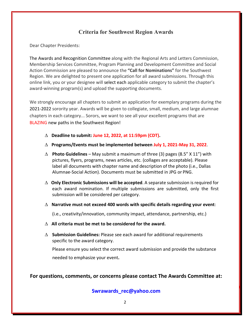# **Criteria for Southwest Region Awards**

Dear Chapter Presidents:

The Awards and Recognition Committee along with the Regional Arts and Letters Commission, Membership Services Committee, Program Planning and Development Committee and Social Action Commission are pleased to announce the **"Call for Nominations"** for the Southwest Region. We are delighted to present one application for all award submissions. Through this online link, you or your designee will select each applicable category to submit the chapter's award-winning program(s) and upload the supporting documents.

We strongly encourage all chapters to submit an application for exemplary programs during the 2021-2022 sorority year. Awards will be given to collegiate, small, medium, and large alumnae chapters in each category... Sorors, we want to see all your excellent programs that are BLAZING new paths in the Southwest Region!

- ∆ **Deadline to submit: June 12, 2022, at 11:59pm (CDT).**
- ∆ **Programs/Events must be implemented between July 1, 2021-May 31, 2022**.
- ∆ **Photo Guidelines**  May submit a maximum of three (3) pages (8.5" X 11") with pictures, flyers, programs, news articles, etc. (collages are acceptable). Please label all documents with chapter name and description of the photo (i.e., Dallas Alumnae-Social Action). Documents must be submitted in JPG or PNG.
- ∆ **Only Electronic Submissions will be accepted**. A separate submission is required for each award nomination. If multiple submissions are submitted, only the first submission will be considered per category.
- ∆ **Narrative must not exceed 400 words with specific details regarding your event**:

(i.e., creativity/innovation, community impact, attendance, partnership, etc.)

- ∆ **All criteria must be met to be considered for the award.**
- ∆ **Submission Guidelines:** Please see each award for additional requirements specific to the award category.

Please ensure you select the correct award submission and provide the substance needed to emphasize your event**.**

**For questions, comments, or concerns please contact The Awards Committee at:** 

**Swrawards\_rec@yahoo.com**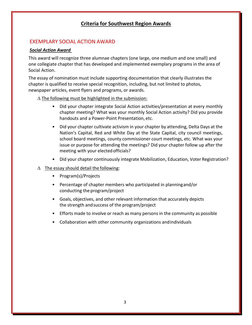# **Criteria for Southwest Region Awards**

# EXEMPLARY SOCIAL ACTION AWARD

#### *Social Action Award*

This award will recognize three alumnae chapters (one large, one medium and one small) and one collegiate chapter that has developed and implemented exemplary programs in the area of Social Action.

The essay of nomination must include supporting documentation that clearly illustrates the chapter is qualified to receive special recognition, including, but not limited to photos, newspaper articles, event flyers and programs, or awards.

#### ∆ The following must be highlighted in the submission:

- Did your chapter integrate Social Action activities/presentation at every monthly chapter meeting? What was your monthly Social Action activity? Did you provide handouts and a Power-Point Presentation, etc.
- Did your chapter cultivate activism in your chapter by attending, Delta Days at the Nation's Capital, Red and White Day at the State Capital, city council meetings, school board meetings, county commissioner court meetings, etc. What was your issue or purpose for attending the meetings? Did your chapter follow up after the meeting with your elected officials?
- Did your chapter continuously integrate Mobilization, Education, Voter Registration?

#### ∆ The essay should detail the following:

- Program(s)/Projects
- Percentage of chapter members who participated in planningand/or conducting the program/project
- Goals, objectives, and other relevant information that accurately depicts the strength andsuccess of the program/project
- Efforts made to involve or reach as many persons in the community as possible
- Collaboration with other community organizations andindividuals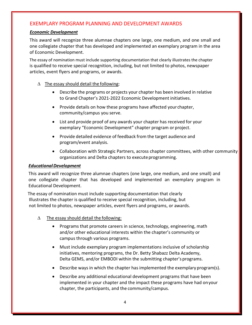# EXEMPLARY PROGRAM PLANNING AND DEVELOPMENT AWARDS

#### *Economic Development*

This award will recognize three alumnae chapters one large, one medium, and one small and one collegiate chapter that has developed and implemented an exemplary program in the area of Economic Development.

The essay of nomination must include supporting documentation that clearly illustrates the chapter is qualified to receive special recognition, including, but not limited to photos, newspaper articles, event flyers and programs, or awards.

#### ∆ The essay should detail the following:

- Describe the programs or projects your chapter has been involved in relative to Grand Chapter's 2021-2022 Economic Development initiatives.
- Provide details on how these programs have affected your chapter, community/campus you serve.
- List and provide proof of any awards your chapter has received for your exemplary "Economic Development" chapter program or project.
- Provide detailed evidence of feedback from the target audience and program/event analysis.
- Collaboration with Strategic Partners, across chapter committees, with other community organizations and Delta chapters to executeprogramming.

#### *EducationalDevelopment*

This award will recognize three alumnae chapters (one large, one medium, and one small) and one collegiate chapter that has developed and implemented an exemplary program in Educational Development.

The essay of nomination must include supporting documentation that clearly Illustrates the chapter is qualified to receive special recognition, including, but not limited to photos, newspaper articles, event flyers and programs, or awards.

- $\Delta$  The essay should detail the following:
	- Programs that promote careers in science, technology, engineering, math and/or other educational interests within the chapter's community or campus through various programs.
	- Must include exemplary program implementations inclusive of scholarship initiatives, mentoring programs, the Dr. Betty Shabazz Delta Academy, Delta GEMS, and/or EMBODI within the submitting chapter's programs.
	- Describe ways in which the chapter has implemented the exemplary program(s).
	- Describe any additional educational development programs that have been implemented in your chapter and the impact these programs have had onyour chapter, the participants, and the community/campus.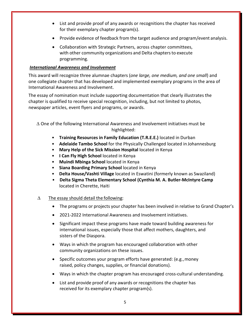- List and provide proof of any awards or recognitions the chapter has received for their exemplary chapter program(s).
- Provide evidence of feedback from the target audience and program/event analysis.
- Collaboration with Strategic Partners, across chapter committees, with other community organizations and Delta chapters to execute programming.

#### *International Awareness and Involvement*

This award will recognize three alumnae chapters (*one large, one medium, and one small*) and one collegiate chapter that has developed and implemented exemplary programs in the area of International Awareness and Involvement.

The essay of nomination must include supporting documentation that clearly illustrates the chapter is qualified to receive special recognition, including, but not limited to photos, newspaper articles, event flyers and programs, or awards.

∆ One of the following International Awareness and Involvement initiatives must be highlighted:

- **Training Resources in Family Education (T.R.E.E.)** located in Durban
- **Adelaide Tambo School** for the Physically Challenged located in Johannesburg
- **Mary Help of the Sick Mission Hospital** located in Kenya
- **I Can Fly High School** located in Kenya
- **Muindi Mbinga School** located in Kenya
- **Siana Boarding Primary School** located in Kenya
- **Delta House/Vashti Village** located in Eswatini (formerly known as Swaziland)
- **Delta Sigma Theta Elementary School (Cynthia M. A. Butler-McIntyre Camp** located in Cherette, Haiti

#### $\Delta$  The essay should detail the following:

- The programs or projects your chapter has been involved in relative to Grand Chapter's
- 2021-2022 International Awareness and Involvement initiatives.
- Significant impact these programs have made toward building awareness for international issues, especially those that affect mothers, daughters, and sisters of the Diaspora.
- Ways in which the program has encouraged collaboration with other community organizations on these issues.
- Specific outcomes your program efforts have generated: (e.g., money raised, policy changes, supplies, or financial donations).
- Ways in which the chapter program has encouraged cross-cultural understanding.
- List and provide proof of any awards or recognitions the chapter has received for its exemplary chapter program(s).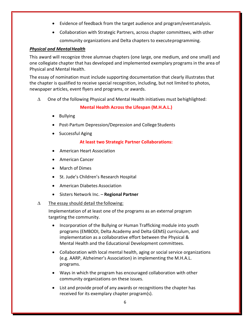- Evidence of feedback from the target audience and program/eventanalysis.
- Collaboration with Strategic Partners, across chapter committees, with other community organizations and Delta chapters to executeprogramming.

#### *Physical and MentalHealth*

This award will recognize three alumnae chapters (one large, one medium, and one small) and one collegiate chapter that has developed and implemented exemplary programs in the area of Physical and Mental Health.

The essay of nomination must include supporting documentation that clearly illustrates that the chapter is qualified to receive special recognition, including, but not limited to photos, newspaper articles, event flyers and programs, or awards.

∆ One of the following Physical and Mental Health initiatives must behighlighted:

#### **Mental Health Across the Lifespan (M.H.A.L.)**

- Bullying
- Post-Partum Depression/Depression and College Students
- Successful Aging

#### **At least two Strategic Partner Collaborations:**

- American Heart Association
- American Cancer
- March of Dimes
- St. Jude's Children's Research Hospital
- American Diabetes Association
- Sisters Network Inc. **Regional Partner**

#### ∆ The essay should detail the following:

Implementation of at least one of the programs as an external program targeting the community.

- Incorporation of the Bullying or Human Trafficking module into youth programs (EMBODI, Delta Academy and Delta GEMS) curriculum, and implementation as a collaborative effort between the Physical & Mental Health and the Educational Development committees.
- Collaboration with local mental health, aging or social service organizations (e.g. AARP, Alzheimer's Association) in implementing the M.H.A.L. programs.
- Ways in which the program has encouraged collaboration with other community organizations on these issues.
- List and provide proof of any awards or recognitions the chapter has received for its exemplary chapter program(s).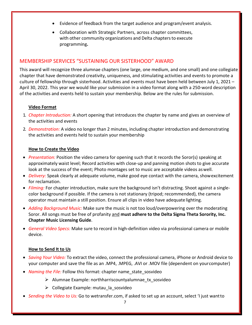- Evidence of feedback from the target audience and program/event analysis.
- Collaboration with Strategic Partners, across chapter committees, with other community organizations and Delta chapters to execute programming**.**

# MEMBERSHIP SERVICES "SUSTAINING OUR SISTERHOOD" AWARD

This award will recognize three alumnae chapters (one large, one medium, and one small) and one collegiate chapter that have demonstrated creativity, uniqueness, and stimulating activities and events to promote a culture of fellowship through sisterhood. Activities and events must have been held between July 1, 2021 – April 30, 2022. This year we would like your submission in a video format along with a 250-word description of the activities and events held to sustain your membership. Below are the rules for submission.

#### **Video Format**

- 1. *Chapter Introduction:* A short opening that introduces the chapter by name and gives an overview of the activities and events
- 2. *Demonstration:* A video no longer than 2 minutes, including chapter introduction and demonstrating the activities and events held to sustain your membership

#### **How to Create the Video**

- *Presentation:* Position the video camera for opening such that it records the Soror(s) speaking at approximately waist level; Record activities with close-up and panning motion shots to give accurate look at the success of the event; Photo montages set to music are acceptable videos aswell.
- *Delivery:* Speak clearly at adequate volume, make good eye contact with the camera, showexcitement for reclamation.
- *Filming:* For chapter introduction, make sure the background isn't distracting. Shoot against a singlecolor background if possible. If the camera is not stationary (tripod; recommended), the camera operator must maintain a still position. Ensure all clips in video have adequate lighting.
- *Adding Background Music:* Make sure the music is not too loud/overpowering over the moderating Soror. All songs must be free of profanity and **must adhere to the Delta Sigma Theta Sorority, Inc. Chapter Music Licensing Guide**.
- *General Video Specs:* Make sure to record in high-definition video via professional camera or mobile device.

#### **How to Send It to Us**

- *Saving Your Video:* To extract the video, connect the professional camera, iPhone or Android device to your computer and save the file as an .MP4, .MPEG, .AVI or .MOV file (dependent on yourcomputer)
- *Naming the File:* Follow this format: chapter name state sosvideo
	- $\triangleright$  Alumnae Example: northharriscountyalumnae tx sosvideo
	- $\triangleright$  Collegiate Example: mutau la sosvideo
- *Sending the Video to Us:* Go to wetransfer.com, if asked to set up an account, select 'I just wantto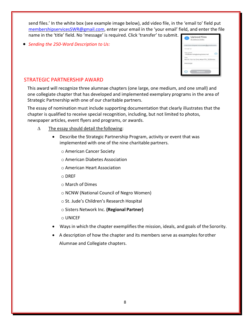send files.' In the white box (see example image below), add video file, in the 'email to' field put membershipservicesSWR@gmail.com, enter your email in the 'your email' field, and enter the file name in the 'title' field. No 'message' is required. Click 'transfer' to submit.

• *Sending the 250-Word Description to Us:*

|            | membershipservicesswr@gmail.com  |  |
|------------|----------------------------------|--|
| Fmail to   |                                  |  |
| Your email | 1005derrick@sbcglobal.net        |  |
| Title      | North Harris Cnty AlumTX SOSvide |  |
| Message    |                                  |  |

### STRATEGIC PARTNERSHIP AWARD

This award will recognize three alumnae chapters (one large, one medium, and one small) and one collegiate chapter that has developed and implemented exemplary programs in the area of Strategic Partnership with one of our charitable partners.

The essay of nomination must include supporting documentation that clearly illustrates that the chapter is qualified to receive special recognition, including, but not limited to photos, newspaper articles, event flyers and programs, or awards.

- ∆ The essay should detail the following:
	- Describe the Strategic Partnership Program, activity or event that was implemented with one of the nine charitable partners.
		- o American Cancer Society
		- o American Diabetes Association
		- o American Heart Association
		- o DREF
		- o March of Dimes
		- o NCNW (National Council of Negro Women)
		- o St. Jude's Children's Research Hospital
		- o Sisters Network Inc. **(Regional Partner)**
		- o UNICEF
	- Ways in which the chapter exemplifiesthe mission, ideals, and goals of the Sorority.
	- A description of how the chapter and its members serve as examples forother Alumnae and Collegiate chapters.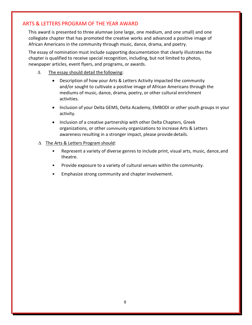# ARTS & LETTERS PROGRAM OF THE YEAR AWARD

This award is presented to three alumnae (one large, one medium, and one small) and one collegiate chapter that has promoted the creative works and advanced a positive image of African Americans in the community through music, dance, drama, and poetry.

The essay of nomination must include supporting documentation that clearly illustrates the chapter is qualified to receive special recognition, including, but not limited to photos, newspaper articles, event flyers, and programs, or awards.

- ∆ The essay should detail the following:
	- Description of how your Arts & Letters Activity impacted the community and/or sought to cultivate a positive image of African Americans through the mediums of music, dance, drama, poetry, or other cultural enrichment activities.
	- Inclusion of your Delta GEMS, Delta Academy, EMBODI or other youth groups in your activity.
	- Inclusion of a creative partnership with other Delta Chapters, Greek organizations, or other community organizations to increase Arts & Letters awareness resulting in a stronger impact, please provide details.

#### ∆ The Arts & Letters Program should:

- Represent a variety of diverse genres to include print, visual arts, music, dance,and theatre.
- Provide exposure to a variety of cultural venues within the community.
- Emphasize strong community and chapter involvement.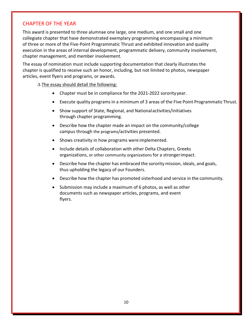# CHAPTER OF THE YEAR

This award is presented to three alumnae one large, one medium, and one small and one collegiate chapter that have demonstrated exemplary programming encompassing a minimum of three or more of the Five-Point Programmatic Thrust and exhibited innovation and quality execution in the areas of internal development, programmatic delivery, community involvement, chapter management, and member involvement.

The essay of nomination must include supporting documentation that clearly illustrates the chapter is qualified to receive such an honor, including, but not limited to photos, newspaper articles, event flyers and programs, or awards.

#### ∆ The essay should detail the following:

- Chapter must be in compliance for the 2021-2022 sororityyear.
- Execute quality programs in a minimum of 3 areas of the Five Point Programmatic Thrust.
- Show support of State, Regional, and Nationalactivities/initiatives through chapter programming.
- Describe how the chapter made an impact on the community/college campus through the programs/activities presented.
- Shows creativity in how programs were implemented.
- Include details of collaboration with other Delta Chapters, Greeks organizations, or other community organizations for a strongerimpact.
- Describe how the chapter has embraced the sorority mission, ideals, and goals, thus upholding the legacy of our Founders.
- Describe how the chapter has promoted sisterhood and service in the community.
- Submission may include a maximum of 6 photos, as well as other documents such as newspaper articles, programs, and event flyers.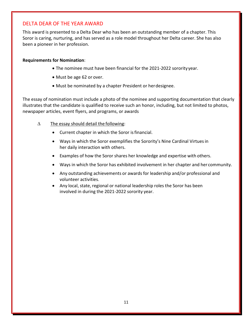# DELTA DEAR OF THE YEAR AWARD

This award is presented to a Delta Dear who has been an outstanding member of a chapter. This Soror is caring, nurturing, and has served as a role model throughout her Delta career. She has also been a pioneer in her profession.

#### **Requirements for Nomination**:

- The nominee must have been financial for the 2021-2022 sororityyear.
- Must be age 62 or over.
- Must be nominated by a chapter President or herdesignee.

The essay of nomination must include a photo of the nominee and supporting documentation that clearly illustrates that the candidate is qualified to receive such an honor, including, but not limited to photos, newspaper articles, event flyers, and programs, or awards

- $\Delta$  The essay should detail the following:
	- Current chapter in which the Soror is financial.
	- Ways in which the Soror exemplifies the Sorority's Nine Cardinal Virtuesin her daily interaction with others.
	- Examples of how the Soror shares her knowledge and expertise with others.
	- Ways in which the Soror has exhibited involvement in her chapter and her community.
	- Any outstanding achievements or awards for leadership and/or professional and volunteer activities.
	- Any local, state, regional or national leadership roles the Soror has been involved in during the 2021-2022 sorority year.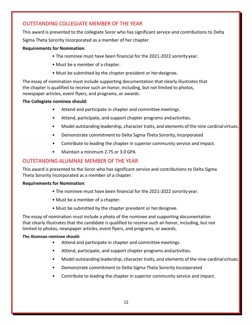# OUTSTANDING COLLEGIATE MEMBER OF THE YEAR

This award is presented to the collegiate Soror who has significant service and contributions to Delta Sigma Theta Sorority Incorporated as a member of her chapter.

#### **Requirements for Nomination**:

- The nominee must have been financial for the 2021-2022 sorority year.
- Must be a member of a chapter.
- Must be submitted by the chapter president or herdesignee.

The essay of nomination must include supporting documentation that clearly illustrates that the chapter is qualified to receive such an honor, including, but not limited to photos, newspaper articles, event flyers, and programs, or awards.

#### **The Collegiate nominee should:**

- Attend and participate in chapter and committee meetings.
- Attend, participate, and support chapter programs andactivities.
- Model outstanding leadership, character traits, and elements of the nine cardinal virtues.
- Demonstrate commitment to Delta Sigma Theta Sorority, Incorporated
- Contribute to leading the chapter in superior community service and impact.
- Maintain a minimum 2.75 or 3.0 GPA

# OUTSTANDING ALUMNAE MEMBER OF THE YEAR

This award is presented to the Soror who has significant service and contributions to Delta Sigma Theta Sorority Incorporated as a member of a chapter.

#### **Requirements for Nomination**:

- The nominee must have been financial for the 2021-2022 sorority year.
- Must be a member of a chapter.
- Must be submitted by the chapter president or herdesignee.

The essay of nomination must include a photo of the nominee and supporting documentation that clearly illustrates that the candidate is qualified to receive such an honor, including, but not limited to photos, newspaper articles, event flyers, and programs, or awards.

#### **The Alumnae nominee should:**

- Attend and participate in chapter and committee meetings.
- Attend, participate, and support chapter programs andactivities.
- Model outstanding leadership, character traits, and elements of the nine cardinal virtues.
- Demonstrate commitment to Delta Sigma Theta Sorority Incorporated
- Contribute to leading the chapter in superior community service and impact.